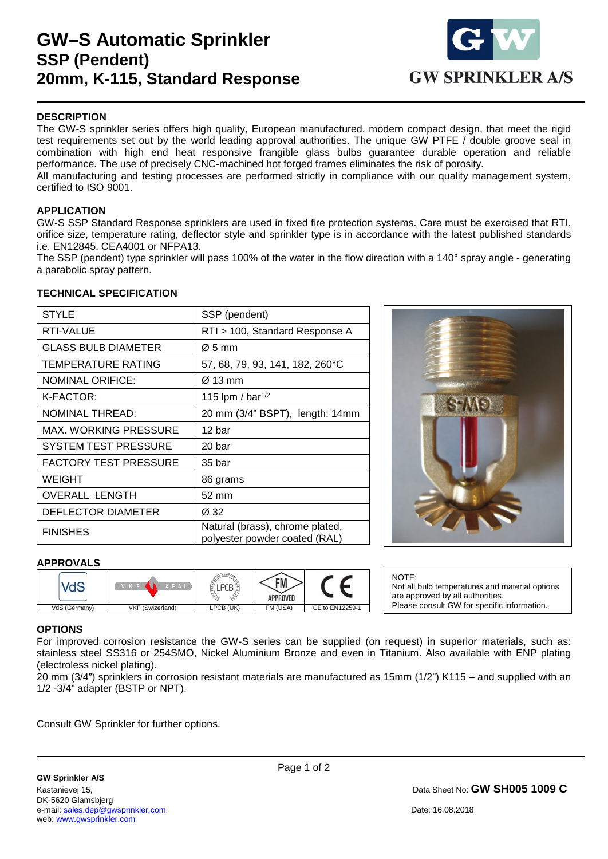## **GW–S Automatic Sprinkler SSP (Pendent) 20mm, K-115, Standard Response**



### **DESCRIPTION**

The GW-S sprinkler series offers high quality, European manufactured, modern compact design, that meet the rigid test requirements set out by the world leading approval authorities. The unique GW PTFE / double groove seal in combination with high end heat responsive frangible glass bulbs guarantee durable operation and reliable performance. The use of precisely CNC-machined hot forged frames eliminates the risk of porosity.

All manufacturing and testing processes are performed strictly in compliance with our quality management system, certified to ISO 9001.

#### **APPLICATION**

GW-S SSP Standard Response sprinklers are used in fixed fire protection systems. Care must be exercised that RTI, orifice size, temperature rating, deflector style and sprinkler type is in accordance with the latest published standards i.e. EN12845, CEA4001 or NFPA13.

The SSP (pendent) type sprinkler will pass 100% of the water in the flow direction with a 140° spray angle - generating a parabolic spray pattern.

#### **TECHNICAL SPECIFICATION**

| <b>STYLE</b>                 | SSP (pendent)                                                    |
|------------------------------|------------------------------------------------------------------|
| RTI-VALUE                    | RTI > 100, Standard Response A                                   |
| <b>GLASS BULB DIAMETER</b>   | $\varnothing$ 5 mm                                               |
| TEMPERATURE RATING           | 57, 68, 79, 93, 141, 182, 260°C                                  |
| NOMINAL ORIFICE:             | $\varnothing$ 13 mm                                              |
| K-FACTOR:                    | 115 lpm / bar <sup>1/2</sup>                                     |
| <b>NOMINAL THREAD:</b>       | 20 mm (3/4" BSPT), length: 14mm                                  |
| MAX. WORKING PRESSURE        | 12 bar                                                           |
| <b>SYSTEM TEST PRESSURE</b>  | 20 bar                                                           |
| <b>FACTORY TEST PRESSURE</b> | 35 bar                                                           |
| <b>WEIGHT</b>                | 86 grams                                                         |
| <b>OVERALL LENGTH</b>        | 52 mm                                                            |
| DEFLECTOR DIAMETER           | Ø 32                                                             |
| <b>FINISHES</b>              | Natural (brass), chrome plated,<br>polyester powder coated (RAL) |



#### **APPROVALS**



NOTE: Not all bulb temperatures and material options are approved by all authorities. Please consult GW for specific information.

#### **OPTIONS**

1

For improved corrosion resistance the GW-S series can be supplied (on request) in superior materials, such as: stainless steel SS316 or 254SMO, Nickel Aluminium Bronze and even in Titanium. Also available with ENP plating (electroless nickel plating).

20 mm (3/4") sprinklers in corrosion resistant materials are manufactured as 15mm (1/2") K115 – and supplied with an 1/2 -3/4" adapter (BSTP or NPT).

Consult GW Sprinkler for further options.